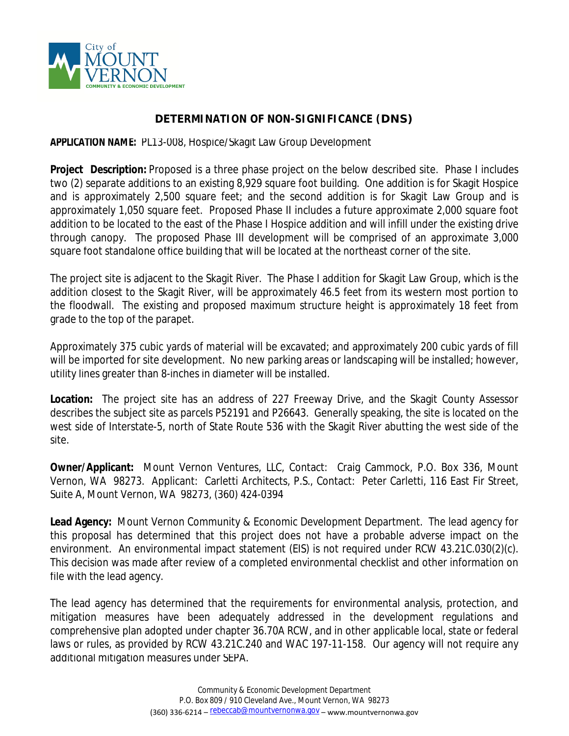

## **DETERMINATION OF NON-SIGNIFICANCE (DNS)**

**APPLICATION NAME:** PL13-008, Hospice/Skagit Law Group Development

**Project Description:** Proposed is a three phase project on the below described site. Phase I includes two (2) separate additions to an existing 8,929 square foot building. One addition is for Skagit Hospice and is approximately 2,500 square feet; and the second addition is for Skagit Law Group and is approximately 1,050 square feet. Proposed Phase II includes a future approximate 2,000 square foot addition to be located to the east of the Phase I Hospice addition and will infill under the existing drive through canopy. The proposed Phase III development will be comprised of an approximate 3,000 square foot standalone office building that will be located at the northeast corner of the site.

The project site is adjacent to the Skagit River. The Phase I addition for Skagit Law Group, which is the addition closest to the Skagit River, will be approximately 46.5 feet from its western most portion to the floodwall. The existing and proposed maximum structure height is approximately 18 feet from grade to the top of the parapet.

Approximately 375 cubic yards of material will be excavated; and approximately 200 cubic yards of fill will be imported for site development. No new parking areas or landscaping will be installed; however, utility lines greater than 8-inches in diameter will be installed.

**Location:** The project site has an address of 227 Freeway Drive, and the Skagit County Assessor describes the subject site as parcels P52191 and P26643. Generally speaking, the site is located on the west side of Interstate-5, north of State Route 536 with the Skagit River abutting the west side of the site.

**Owner/Applicant:** Mount Vernon Ventures, LLC, Contact: Craig Cammock, P.O. Box 336, Mount Vernon, WA 98273. Applicant: Carletti Architects, P.S., Contact: Peter Carletti, 116 East Fir Street, Suite A, Mount Vernon, WA 98273, (360) 424-0394

**Lead Agency:** Mount Vernon Community & Economic Development Department. The lead agency for this proposal has determined that this project does not have a probable adverse impact on the environment. An environmental impact statement (EIS) is not required under RCW 43.21C.030(2)(c). This decision was made after review of a completed environmental checklist and other information on file with the lead agency.

The lead agency has determined that the requirements for environmental analysis, protection, and mitigation measures have been adequately addressed in the development regulations and comprehensive plan adopted under chapter 36.70A RCW, and in other applicable local, state or federal laws or rules, as provided by RCW 43.21C.240 and WAC 197-11-158. Our agency will not require any additional mitigation measures under SEPA.